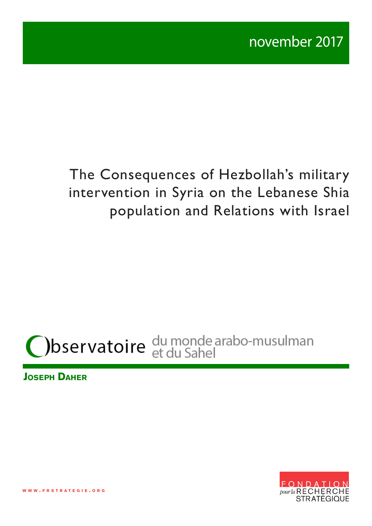# The Consequences of Hezbollah's military intervention in Syria on the Lebanese Shia population and Relations with Israel



**Joseph Daher**

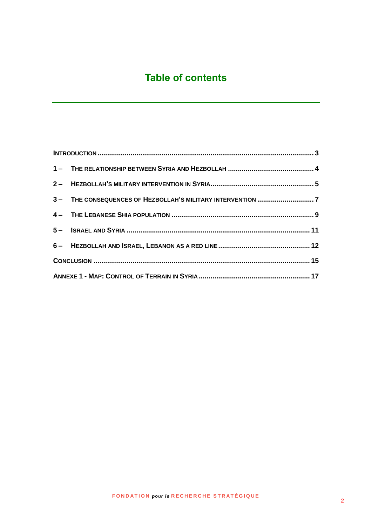# **Table of contents**

|  | 3 - THE CONSEQUENCES OF HEZBOLLAH'S MILITARY INTERVENTION 7 |  |
|--|-------------------------------------------------------------|--|
|  |                                                             |  |
|  |                                                             |  |
|  |                                                             |  |
|  |                                                             |  |
|  |                                                             |  |
|  |                                                             |  |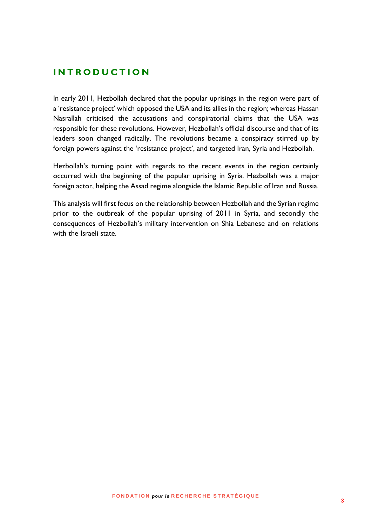#### <span id="page-2-0"></span>**I N T R O D U C T I O N**

In early 2011, Hezbollah declared that the popular uprisings in the region were part of a 'resistance project' which opposed the USA and its allies in the region; whereas Hassan Nasrallah criticised the accusations and conspiratorial claims that the USA was responsible for these revolutions. However, Hezbollah's official discourse and that of its leaders soon changed radically. The revolutions became a conspiracy stirred up by foreign powers against the 'resistance project', and targeted Iran, Syria and Hezbollah.

Hezbollah's turning point with regards to the recent events in the region certainly occurred with the beginning of the popular uprising in Syria. Hezbollah was a major foreign actor, helping the Assad regime alongside the Islamic Republic of Iran and Russia.

This analysis will first focus on the relationship between Hezbollah and the Syrian regime prior to the outbreak of the popular uprising of 2011 in Syria, and secondly the consequences of Hezbollah's military intervention on Shia Lebanese and on relations with the Israeli state.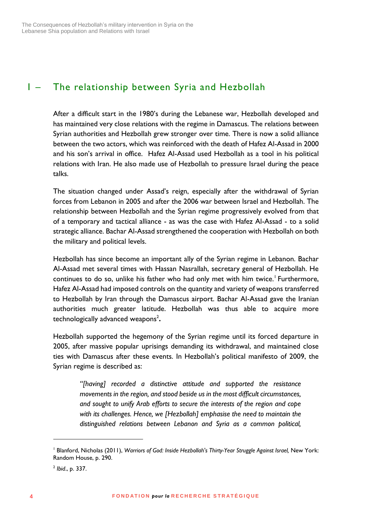## <span id="page-3-0"></span>1 – The relationship between Syria and Hezbollah

After a difficult start in the 1980's during the Lebanese war, Hezbollah developed and has maintained very close relations with the regime in Damascus. The relations between Syrian authorities and Hezbollah grew stronger over time. There is now a solid alliance between the two actors, which was reinforced with the death of Hafez Al-Assad in 2000 and his son's arrival in office. Hafez Al-Assad used Hezbollah as a tool in his political relations with Iran. He also made use of Hezbollah to pressure Israel during the peace talks.

The situation changed under Assad's reign, especially after the withdrawal of Syrian forces from Lebanon in 2005 and after the 2006 war between Israel and Hezbollah. The relationship between Hezbollah and the Syrian regime progressively evolved from that of a temporary and tactical alliance - as was the case with Hafez Al-Assad - to a solid strategic alliance. Bachar Al-Assad strengthened the cooperation with Hezbollah on both the military and political levels.

Hezbollah has since become an important ally of the Syrian regime in Lebanon. Bachar Al-Assad met several times with Hassan Nasrallah, secretary general of Hezbollah. He continues to do so, unlike his father who had only met with him twice.<sup>1</sup> Furthermore, Hafez Al-Assad had imposed controls on the quantity and variety of weapons transferred to Hezbollah by Iran through the Damascus airport. Bachar Al-Assad gave the Iranian authorities much greater latitude. Hezbollah was thus able to acquire more technologically advanced weapons<sup>2</sup>.

Hezbollah supported the hegemony of the Syrian regime until its forced departure in 2005, after massive popular uprisings demanding its withdrawal, and maintained close ties with Damascus after these events. In Hezbollah's political manifesto of 2009, the Syrian regime is described as:

*"[having] recorded a distinctive attitude and supported the resistance movements in the region, and stood beside us in the most difficult circumstances, and sought to unify Arab efforts to secure the interests of the region and cope with its challenges. Hence, we [Hezbollah] emphasise the need to maintain the distinguished relations between Lebanon and Syria as a common political,* 

<sup>&</sup>lt;sup>1</sup> Blanford, Nicholas (2011), *Warriors of God: Inside Hezbollah's Thirty-Year Struggle Against Israel, New York:* Random House, p. 290.

<sup>2</sup> *Ibid*., p. 337.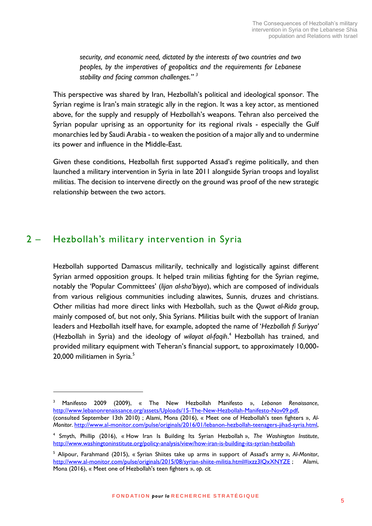*security, and economic need, dictated by the interests of two countries and two peoples, by the imperatives of geopolitics and the requirements for Lebanese stability and facing common challenges." <sup>3</sup>*

This perspective was shared by Iran, Hezbollah's political and ideological sponsor. The Syrian regime is Iran's main strategic ally in the region. It was a key actor, as mentioned above, for the supply and resupply of Hezbollah's weapons. Tehran also perceived the Syrian popular uprising as an opportunity for its regional rivals - especially the Gulf monarchies led by Saudi Arabia - to weaken the position of a major ally and to undermine its power and influence in the Middle-East.

Given these conditions, Hezbollah first supported Assad's regime politically, and then launched a military intervention in Syria in late 2011 alongside Syrian troops and loyalist militias. The decision to intervene directly on the ground was proof of the new strategic relationship between the two actors.

#### <span id="page-4-0"></span>2 – Hezbollah's military intervention in Syria

1

Hezbollah supported Damascus militarily, technically and logistically against different Syrian armed opposition groups. It helped train militias fighting for the Syrian regime, notably the 'Popular Committees' (*lijan al-sha'biyya*), which are composed of individuals from various religious communities including alawites, Sunnis, druzes and christians. Other militias had more direct links with Hezbollah, such as the *Quwat al-Rida* group, mainly composed of, but not only, Shia Syrians. Militias built with the support of Iranian leaders and Hezbollah itself have, for example, adopted the name of '*Hezbollah fi Suriyya'* (Hezbollah in Syria) and the ideology of *wilayat al-faqih*. <sup>4</sup> Hezbollah has trained, and provided military equipment with Teheran's financial support, to approximately 10,000- 20,000 militiamen in Syria.<sup>5</sup>

<sup>3</sup> Manifesto 2009 (2009), « The New Hezbollah Manifesto », *Lebanon Renaissance*[,](http://www.lebanonrenaissance.org/assets/Uploads/15-The-New-Hezbollah-Manifesto-Nov09.pdf) [http://www.lebanonrenaissance.org/assets/Uploads/15-The-New-Hezbollah-Manifesto-Nov09.pdf,](http://www.lebanonrenaissance.org/assets/Uploads/15-The-New-Hezbollah-Manifesto-Nov09.pdf) (consulted September 13th 2010) ; Alami, Mona (2016), « Meet one of Hezbollah's teen fighters », *Al-Monitor*. [http://www.al-monitor.com/pulse/originals/2016/01/lebanon-hezbollah-teenagers-jihad-syria.html,](http://www.al-monitor.com/pulse/originals/2016/01/lebanon-hezbollah-teenagers-jihad-syria.html)

<sup>4</sup> Smyth, Phillip (2016), « How Iran Is Building Its Syrian Hezbollah », *The Washington Institute*, <http://www.washingtoninstitute.org/policy-analysis/view/how-iran-is-building-its-syrian-hezbollah>

<sup>5</sup> Alipour, Farahmand (2015), « Syrian Shiites take up arms in support of Assad's army », *Al-Monitor*, <http://www.al-monitor.com/pulse/originals/2015/08/syrian-shiite-militia.html#ixzz3lQxXNYZE> ; Alami, Mona (2016), « Meet one of Hezbollah's teen fighters », *op. cit.*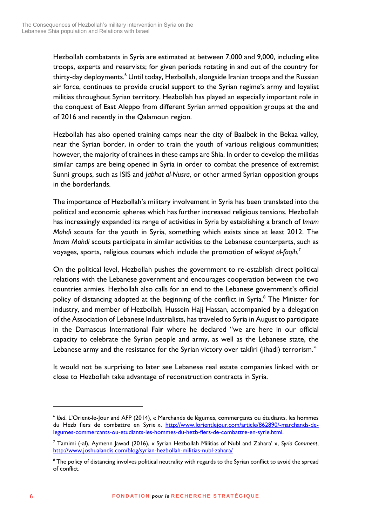Hezbollah combatants in Syria are estimated at between 7,000 and 9,000, including elite troops, experts and reservists; for given periods rotating in and out of the country for thirty-day deployments.<sup>6</sup> Until today, Hezbollah, alongside Iranian troops and the Russian air force, continues to provide crucial support to the Syrian regime's army and loyalist militias throughout Syrian territory. Hezbollah has played an especially important role in the conquest of East Aleppo from different Syrian armed opposition groups at the end of 2016 and recently in the Qalamoun region.

Hezbollah has also opened training camps near the city of Baalbek in the Bekaa valley, near the Syrian border, in order to train the youth of various religious communities; however, the majority of trainees in these camps are Shia. In order to develop the militias similar camps are being opened in Syria in order to combat the presence of extremist Sunni groups, such as ISIS and *Jabhat al-Nusra*, or other armed Syrian opposition groups in the borderlands.

The importance of Hezbollah's military involvement in Syria has been translated into the political and economic spheres which has further increased religious tensions. Hezbollah has increasingly expanded its range of activities in Syria by establishing a branch of *Imam Mahdi* scouts for the youth in Syria, something which exists since at least 2012. The *Imam Mahdi* scouts participate in similar activities to the Lebanese counterparts, such as voyages, sports, religious courses which include the promotion of *wilayat al-faqih.*<sup>7</sup>

On the political level, Hezbollah pushes the government to re-establish direct political relations with the Lebanese government and encourages cooperation between the two countries armies. Hezbollah also calls for an end to the Lebanese government's official policy of distancing adopted at the beginning of the conflict in Syria.<sup>8</sup> The Minister for industry, and member of Hezbollah, Hussein Hajj Hassan, accompanied by a delegation of the Association of Lebanese Industrialists, has traveled to Syria in August to participate in the Damascus International Fai**r** where he declared "we are here in our official capacity to celebrate the Syrian people and army, as well as the Lebanese state, the Lebanese army and the resistance for the Syrian victory over takfiri (jihadi) terrorism."

It would not be surprising to later see Lebanese real estate companies linked with or close to Hezbollah take advantage of reconstruction contracts in Syria.

<sup>6</sup> *Ibid*. L'Orient-le-Jour and AFP (2014), « Marchands de légumes, commerçants ou étudiants, les hommes du Hezb fiers de combattre en Syrie », [http://www.lorientlejour.com/article/862890/-marchands-de](http://www.lorientlejour.com/article/862890/-marchands-de-legumes-commercants-ou-etudiants-les-hommes-du-hezb-fiers-de-combattre-en-syrie.html)[legumes-commercants-ou-etudiants-les-hommes-du-hezb-fiers-de-combattre-en-syrie.html.](http://www.lorientlejour.com/article/862890/-marchands-de-legumes-commercants-ou-etudiants-les-hommes-du-hezb-fiers-de-combattre-en-syrie.html)

<sup>7</sup> Tamimi (-al), Aymenn Jawad (2016), « Syrian Hezbollah Militias of Nubl and Zahara' », *Syria Comment*, <http://www.joshualandis.com/blog/syrian-hezbollah-militias-nubl-zahara/>

<sup>&</sup>lt;sup>8</sup> The policy of distancing involves political neutrality with regards to the Syrian conflict to avoid the spread of conflict.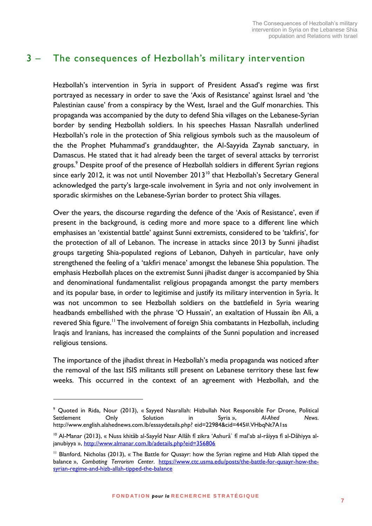#### <span id="page-6-0"></span>3 – The consequences of Hezbollah's military intervention

Hezbollah's intervention in Syria in support of President Assad's regime was first portrayed as necessary in order to save the 'Axis of Resistance' against Israel and 'the Palestinian cause' from a conspiracy by the West, Israel and the Gulf monarchies. This propaganda was accompanied by the duty to defend Shia villages on the Lebanese-Syrian border by sending Hezbollah soldiers. In his speeches Hassan Nasrallah underlined Hezbollah's role in the protection of Shia religious symbols such as the mausoleum of the the Prophet Muhammad's granddaughter, the Al-Sayyida Zaynab sanctuary, in Damascus. He stated that it had already been the target of several attacks by terrorist groups.<sup>9</sup> Despite proof of the presence of Hezbollah soldiers in different Syrian regions since early 2012, it was not until November 2013<sup>10</sup> that Hezbollah's Secretary General acknowledged the party's large-scale involvement in Syria and not only involvement in sporadic skirmishes on the Lebanese-Syrian border to protect Shia villages.

Over the years, the discourse regarding the defence of the 'Axis of Resistance', even if present in the background, is ceding more and more space to a different line which emphasises an 'existential battle' against Sunni extremists, considered to be 'takfiris', for the protection of all of Lebanon. The increase in attacks since 2013 by Sunni jihadist groups targeting Shia-populated regions of Lebanon, Dahyeh in particular, have only strengthened the feeling of a 'takfiri menace' amongst the lebanese Shia population. The emphasis Hezbollah places on the extremist Sunni jihadist danger is accompanied by Shia and denominational fundamentalist religious propaganda amongst the party members and its popular base, in order to legitimise and justify its military intervention in Syria. It was not uncommon to see Hezbollah soldiers on the battlefield in Syria wearing headbands embellished with the phrase 'O Hussain', an exaltation of Hussain ibn Ali, a revered Shia figure.<sup>11</sup> The involvement of foreign Shia combatants in Hezbollah, including Iraqis and Iranians, has increased the complaints of the Sunni population and increased religious tensions.

The importance of the jihadist threat in Hezbollah's media propaganda was noticed after the removal of the last ISIS militants still present on Lebanese territory these last few weeks. This occurred in the context of an agreement with Hezbollah, and the

<sup>9</sup> Quoted in Rida, Nour (2013), « Sayyed Nasrallah: Hizbullah Not Responsible For Drone, Political Settlement Only Solution in Syria », *Al-Ahed News*. http://www.english.alahednews.com.lb/essaydetails.php? eid=22984&cid=445#.VHbqNt7A1ss

<sup>&</sup>lt;sup>10</sup> Al-Manar (2013), « Nuss khitâb al-Sayyîd Nasr Allâh fî zikra 'Ashurâ` fî mal'ab al-râiyya fî al-Dâhiyya aljanubiyya »,<http://www.almanar.com.lb/adetails.php?eid=356806>

<sup>&</sup>lt;sup>11</sup> Blanford, Nicholas (2013), « The Battle for Qusayr: how the Syrian regime and Hizb Allah tipped the balance », *Combating Terrorism Center*. [https://www.ctc.usma.edu/posts/the-battle-for-qusayr-how-the](https://www.ctc.usma.edu/posts/the-battle-for-qusayr-how-the-syrian-regime-and-hizb-allah-tipped-the-balance)[syrian-regime-and-hizb-allah-tipped-the-balance](https://www.ctc.usma.edu/posts/the-battle-for-qusayr-how-the-syrian-regime-and-hizb-allah-tipped-the-balance)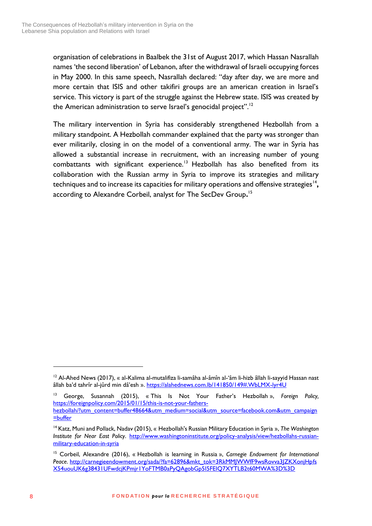organisation of celebrations in Baalbek the 31st of August 2017, which Hassan Nasrallah names 'the second liberation' of Lebanon, after the withdrawal of Israeli occupying forces in May 2000. In this same speech, Nasrallah declared: "day after day, we are more and more certain that ISIS and other takifiri groups are an american creation in Israel's service. This victory is part of the struggle against the Hebrew state. ISIS was created by the American administration to serve Israel's genocidal project".<sup>12</sup>

The military intervention in Syria has considerably strengthened Hezbollah from a military standpoint. A Hezbollah commander explained that the party was stronger than ever militarily, closing in on the model of a conventional army. The war in Syria has allowed a substantial increase in recruitment, with an increasing number of young combattants with significant experience.<sup>13</sup> Hezbollah has also benefited from its collaboration with the Russian army in Syria to improve its strategies and military techniques and to increase its capacities for military operations and offensive strategies<sup>14</sup>, according to Alexandre Corbeil, analyst for The SecDev Group**.** 15

<u>.</u>

<sup>&</sup>lt;sup>12</sup> Al-Ahed News (2017), « al-Kalima al-mutalifiza li-samâha al-âmîn al-'âm li-hizb âllah li-sayyid Hassan nast âllah ba'd tahrîr al-jûrd min dâ'esh ».<https://alahednews.com.lb/141850/149#.WbLMX-lyr4U>

<sup>13</sup> George, Susannah (2015), « This Is Not Your Father's Hezbollah », *Foreign Policy,* [https://foreignpolicy.com/2015/01/15/this-is-not-your-fathers](https://foreignpolicy.com/2015/01/15/this-is-not-your-fathers-hezbollah/?utm_content=buffer48664&utm_medium=social&utm_source=facebook.com&utm_campaign=buffer)[hezbollah/?utm\\_content=buffer48664&utm\\_medium=social&utm\\_source=facebook.com&utm\\_campaign](https://foreignpolicy.com/2015/01/15/this-is-not-your-fathers-hezbollah/?utm_content=buffer48664&utm_medium=social&utm_source=facebook.com&utm_campaign=buffer) [=buffer](https://foreignpolicy.com/2015/01/15/this-is-not-your-fathers-hezbollah/?utm_content=buffer48664&utm_medium=social&utm_source=facebook.com&utm_campaign=buffer)

<sup>14</sup> Katz, Muni and Pollack, Nadav (2015), « Hezbollah's Russian Military Education in Syria », *The Washington Institute for Near East Policy*. [http://www.washingtoninstitute.org/policy-analysis/view/hezbollahs-russian](http://www.washingtoninstitute.org/policy-analysis/view/hezbollahs-russian-military-education-in-syria)[military-education-in-syria](http://www.washingtoninstitute.org/policy-analysis/view/hezbollahs-russian-military-education-in-syria)

<sup>15</sup> Corbeil, Alexandre (2016), « Hezbollah is learning in Russia », *Carnegie Endowment for International Peace*. [http://carnegieendowment.org/sada/?fa=62896&mkt\\_tok=3RkMMJWWfF9wsRovva3JZKXonjHpfs](http://carnegieendowment.org/sada/?fa=62896&mkt_tok=3RkMMJWWfF9wsRovva3JZKXonjHpfsX54uouUK6g38431UFwdcjKPmjr1YoFTMB0aPyQAgobGp5I5FEIQ7XYTLB2t60MWA%3D%3D) [X54uouUK6g38431UFwdcjKPmjr1YoFTMB0aPyQAgobGp5I5FEIQ7XYTLB2t60MWA%3D%3D](http://carnegieendowment.org/sada/?fa=62896&mkt_tok=3RkMMJWWfF9wsRovva3JZKXonjHpfsX54uouUK6g38431UFwdcjKPmjr1YoFTMB0aPyQAgobGp5I5FEIQ7XYTLB2t60MWA%3D%3D)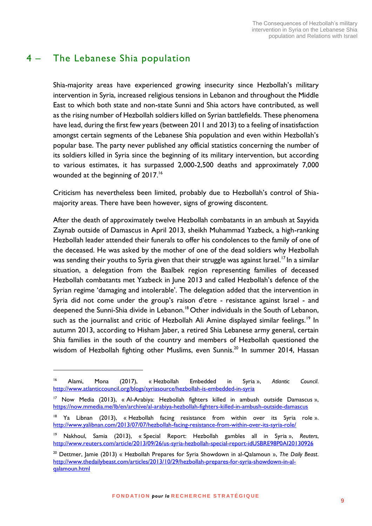## <span id="page-8-0"></span>4 – The Lebanese Shia population

<u>.</u>

Shia-majority areas have experienced growing insecurity since Hezbollah's military intervention in Syria, increased religious tensions in Lebanon and throughout the Middle East to which both state and non-state Sunni and Shia actors have contributed, as well as the rising number of Hezbollah soldiers killed on Syrian battlefields. These phenomena have lead, during the first few years (between 2011 and 2013) to a feeling of insatisfaction amongst certain segments of the Lebanese Shia population and even within Hezbollah's popular base. The party never published any official statistics concerning the number of its soldiers killed in Syria since the beginning of its military intervention, but according to various estimates, it has surpassed 2,000-2,500 deaths and approximately 7,000 wounded at the beginning of 2017.<sup>16</sup>

Criticism has nevertheless been limited, probably due to Hezbollah's control of Shiamajority areas. There have been however, signs of growing discontent.

After the death of approximately twelve Hezbollah combatants in an ambush at Sayyida Zaynab outside of Damascus in April 2013, sheikh Muhammad Yazbeck, a high-ranking Hezbollah leader attended their funerals to offer his condolences to the family of one of the deceased. He was asked by the mother of one of the dead soldiers why Hezbollah was sending their youths to Syria given that their struggle was against Israel.<sup>17</sup> In a similar situation, a delegation from the Baalbek region representing families of deceased Hezbollah combatants met Yazbeck in June 2013 and called Hezbollah's defence of the Syrian regime 'damaging and intolerable'. The delegation added that the intervention in Syria did not come under the group's raison d'etre - resistance against Israel - and deepened the Sunni-Shia divide in Lebanon.<sup>18</sup> Other individuals in the South of Lebanon, such as the journalist and critic of Hezbollah Ali Amine displayed similar feelings.<sup>19</sup> In autumn 2013, according to Hisham Jaber, a retired Shia Lebanese army general, certain Shia families in the south of the country and members of Hezbollah questioned the wisdom of Hezbollah fighting other Muslims, even Sunnis.<sup>20</sup> In summer 2014, Hassan

<sup>16</sup> Alami, Mona (2017), « Hezbollah Embedded in Syria », *Atlantic Council*. <http://www.atlanticcouncil.org/blogs/syriasource/hezbollah-is-embedded-in-syria>

<sup>&</sup>lt;sup>17</sup> Now Media (2013), « Al-Arabiya: Hezbollah fighters killed in ambush outside Damascus », <https://now.mmedia.me/lb/en/archive/al-arabiya-hezbollah-fighters-killed-in-ambush-outside-damascus>

Ya Libnan (2013), « Hezbollah facing resistance from within over its Syria role ». <http://www.yalibnan.com/2013/07/07/hezbollah-facing-resistance-from-within-over-its-syria-role/>

<sup>19</sup> Nakhoul, Samia (2013), « Special Report: Hezbollah gambles all in Syria », *Reuters*, <http://www.reuters.com/article/2013/09/26/us-syria-hezbollah-special-report-idUSBRE98P0AI20130926>

<sup>20</sup> Dettmer, Jamie (2013) « Hezbollah Prepares for Syria Showdown in al-Qalamoun », *The Daily Beast*. [http://www.thedailybeast.com/articles/2013/10/29/hezbollah-prepares-for-syria-showdown-in-al](http://www.thedailybeast.com/articles/2013/10/29/hezbollah-prepares-for-syria-showdown-in-al-qalamoun.html)[qalamoun.html](http://www.thedailybeast.com/articles/2013/10/29/hezbollah-prepares-for-syria-showdown-in-al-qalamoun.html)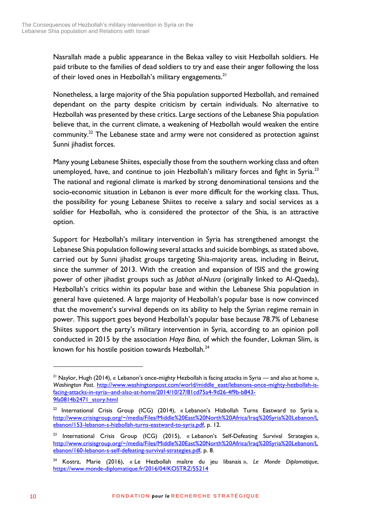Nasrallah made a public appearance in the Bekaa valley to visit Hezbollah soldiers. He paid tribute to the families of dead soldiers to try and ease their anger following the loss of their loved ones in Hezbollah's military engagements.<sup>21</sup>

Nonetheless, a large majority of the Shia population supported Hezbollah, and remained dependant on the party despite criticism by certain individuals. No alternative to Hezbollah was presented by these critics. Large sections of the Lebanese Shia population believe that, in the current climate, a weakening of Hezbollah would weaken the entire community.<sup>22</sup> The Lebanese state and army were not considered as protection against Sunni jihadist forces.

Many young Lebanese Shiites, especially those from the southern working class and often unemployed, have, and continue to join Hezbollah's military forces and fight in Syria.<sup>23</sup> The national and regional climate is marked by strong denominational tensions and the socio-economic situation in Lebanon is ever more difficult for the working class. Thus, the possibility for young Lebanese Shiites to receive a salary and social services as a soldier for Hezbollah, who is considered the protector of the Shia, is an attractive option.

Support for Hezbollah's military intervention in Syria has strengthened amongst the Lebanese Shia population following several attacks and suicide bombings, as stated above, carried out by Sunni jihadist groups targeting Shia-majority areas, including in Beirut, since the summer of 2013. With the creation and expansion of ISIS and the growing power of other jihadist groups such as *Jabhat al-Nusra* (originally linked to Al-Qaeda), Hezbollah's critics within its popular base and within the Lebanese Shia population in general have quietened. A large majority of Hezbollah's popular base is now convinced that the movement's survival depends on its ability to help the Syrian regime remain in power. This support goes beyond Hezbollah's popular base because 78.7% of Lebanese Shiites support the party's military intervention in Syria, according to an opinion poll conducted in 2015 by the association *Haya Bina*, of which the founder, Lokman Slim, is known for his hostile position towards Hezbollah.<sup>24</sup>

<u>.</u>

<sup>&</sup>lt;sup>21</sup> Naylor, Hugh (2014), « Lebanon's once-mighty Hezbollah is facing attacks in Syria — and also at home », Washington Post. [http://www.washingtonpost.com/world/middle\\_east/lebanons-once-mighty-hezbollah-is](http://www.washingtonpost.com/world/middle_east/lebanons-once-mighty-hezbollah-is-facing-attacks-in-syria--and-also-at-home/2014/10/27/81cd75a4-9d26-4f9b-b843-9fa0814b2471_story.html)[facing-attacks-in-syria--and-also-at-home/2014/10/27/81cd75a4-9d26-4f9b-b843-](http://www.washingtonpost.com/world/middle_east/lebanons-once-mighty-hezbollah-is-facing-attacks-in-syria--and-also-at-home/2014/10/27/81cd75a4-9d26-4f9b-b843-9fa0814b2471_story.html) [9fa0814b2471\\_story.html](http://www.washingtonpost.com/world/middle_east/lebanons-once-mighty-hezbollah-is-facing-attacks-in-syria--and-also-at-home/2014/10/27/81cd75a4-9d26-4f9b-b843-9fa0814b2471_story.html)

<sup>&</sup>lt;sup>22</sup> International Crisis Group (ICG) (2014), « Lebanon's Hizbollah Turns Eastward to Syria », [http://www.crisisgroup.org/~/media/Files/Middle%20East%20North%20Africa/Iraq%20Syria%20Lebanon/L](http://www.crisisgroup.org/~/media/Files/Middle%20East%20North%20Africa/Iraq%20Syria%20Lebanon/Lebanon/153-lebanon-s-hizbollah-turns-eastward-to-syria.pdf) [ebanon/153-lebanon-s-hizbollah-turns-eastward-to-syria.pdf,](http://www.crisisgroup.org/~/media/Files/Middle%20East%20North%20Africa/Iraq%20Syria%20Lebanon/Lebanon/153-lebanon-s-hizbollah-turns-eastward-to-syria.pdf) p. 12.

<sup>&</sup>lt;sup>23</sup> International Crisis Group (ICG) (2015), « Lebanon's Self-Defeating Survival Strategies », [http://www.crisisgroup.org/~/media/Files/Middle%20East%20North%20Africa/Iraq%20Syria%20Lebanon/L](http://www.crisisgroup.org/~/media/Files/Middle%20East%20North%20Africa/Iraq%20Syria%20Lebanon/Lebanon/160-lebanon-s-self-defeating-survival-strategies.pdf) [ebanon/160-lebanon-s-self-defeating-survival-strategies.pdf,](http://www.crisisgroup.org/~/media/Files/Middle%20East%20North%20Africa/Iraq%20Syria%20Lebanon/Lebanon/160-lebanon-s-self-defeating-survival-strategies.pdf) p. 8.

<sup>24</sup> Kostrz, Marie (2016), « Le Hezbollah maître du jeu libanais », *Le Monde Diplomatique*, <https://www.monde-diplomatique.fr/2016/04/KOSTRZ/55214>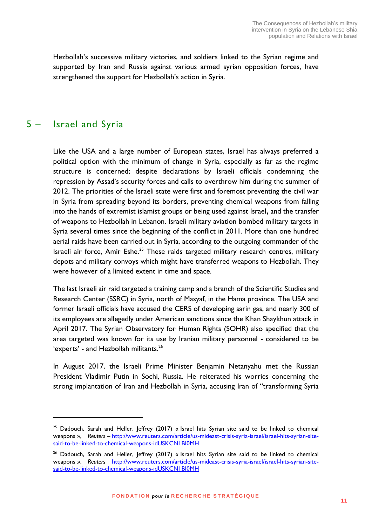Hezbollah's successive military victories, and soldiers linked to the Syrian regime and supported by Iran and Russia against various armed syrian opposition forces, have strengthened the support for Hezbollah's action in Syria.

#### <span id="page-10-0"></span>5 – Israel and Syria

1

Like the USA and a large number of European states, Israel has always preferred a political option with the minimum of change in Syria, especially as far as the regime structure is concerned; despite declarations by Israeli officials condemning the repression by Assad's security forces and calls to overthrow him during the summer of 2012. The priorities of the Israeli state were first and foremost preventing the civil war in Syria from spreading beyond its borders, preventing chemical weapons from falling into the hands of extremist islamist groups or being used against Israel**,** and the transfer of weapons to Hezbollah in Lebanon. Israeli military aviation bombed military targets in Syria several times since the beginning of the conflict in 2011. More than one hundred aerial raids have been carried out in Syria, according to the outgoing commander of the Israeli air force, Amir Eshe.<sup>25</sup> These raids targeted military research centres, military depots and military convoys which might have transferred weapons to Hezbollah. They were however of a limited extent in time and space.

The last Israeli air raid targeted a training camp and a branch of the Scientific Studies and Research Center (SSRC) in Syria, north of Masyaf, in the Hama province. The USA and former Israeli officials have accused the CERS of developing sarin gas, and nearly 300 of its employees are allegedly under American sanctions since the Khan Shaykhun attack in April 2017. The Syrian Observatory for Human Rights (SOHR) also specified that the area targeted was known for its use by Iranian military personnel - considered to be 'experts' - and Hezbollah militants.<sup>26</sup>

In August 2017, the Israeli Prime Minister Benjamin Netanyahu met the Russian President Vladimir Putin in Sochi, Russia. He reiterated his worries concerning the strong implantation of Iran and Hezbollah in Syria, accusing Iran of "transforming Syria

<sup>&</sup>lt;sup>25</sup> Dadouch, Sarah and Heller, Jeffrey (2017) « Israel hits Syrian site said to be linked to chemical weapons », *Reuters –* [http://www.reuters.com/article/us-mideast-crisis-syria-israel/israel-hits-syrian-site](http://www.reuters.com/article/us-mideast-crisis-syria-israel/israel-hits-syrian-site-said-to-be-linked-to-chemical-weapons-idUSKCN1BI0MH)[said-to-be-linked-to-chemical-weapons-idUSKCN1BI0MH](http://www.reuters.com/article/us-mideast-crisis-syria-israel/israel-hits-syrian-site-said-to-be-linked-to-chemical-weapons-idUSKCN1BI0MH)

<sup>&</sup>lt;sup>26</sup> Dadouch, Sarah and Heller, Jeffrey (2017) « Israel hits Syrian site said to be linked to chemical weapons », *Reuters –* [http://www.reuters.com/article/us-mideast-crisis-syria-israel/israel-hits-syrian-site](http://www.reuters.com/article/us-mideast-crisis-syria-israel/israel-hits-syrian-site-said-to-be-linked-to-chemical-weapons-idUSKCN1BI0MH)[said-to-be-linked-to-chemical-weapons-idUSKCN1BI0MH](http://www.reuters.com/article/us-mideast-crisis-syria-israel/israel-hits-syrian-site-said-to-be-linked-to-chemical-weapons-idUSKCN1BI0MH)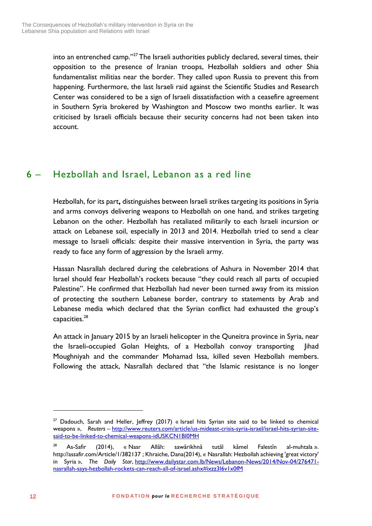into an entrenched camp."<sup>27</sup> The Israeli authorities publicly declared, several times, their opposition to the presence of Iranian troops, Hezbollah soldiers and other Shia fundamentalist militias near the border. They called upon Russia to prevent this from happening. Furthermore, the last Israeli raid against the Scientific Studies and Research Center was considered to be a sign of Israeli dissatisfaction with a ceasefire agreement in Southern Syria brokered by Washington and Moscow two months earlier. It was criticised by Israeli officials because their security concerns had not been taken into account.

## <span id="page-11-0"></span>6 – Hezbollah and Israel, Lebanon as a red line

Hezbollah, for its part**,** distinguishes between Israeli strikes targeting its positions in Syria and arms convoys delivering weapons to Hezbollah on one hand, and strikes targeting Lebanon on the other. Hezbollah has retaliated militarily to each Israeli incursion or attack on Lebanese soil, especially in 2013 and 2014. Hezbollah tried to send a clear message to Israeli officials: despite their massive intervention in Syria, the party was ready to face any form of aggression by the Israeli army.

Hassan Nasrallah declared during the celebrations of Ashura in November 2014 that Israel should fear Hezbollah's rockets because "they could reach all parts of occupied Palestine". He confirmed that Hezbollah had never been turned away from its mission of protecting the southern Lebanese border, contrary to statements by Arab and Lebanese media which declared that the Syrian conflict had exhausted the group's capacities.<sup>28</sup>

An attack in January 2015 by an Israeli helicopter in the Quneitra province in Syria, near the Israeli-occupied Golan Heights, of a Hezbollah convoy transporting Jihad Moughniyah and the commander Mohamad Issa, killed seven Hezbollah members. Following the attack, Nasrallah declared that "the Islamic resistance is no longer

 $27$  Dadouch, Sarah and Heller, Jeffrey (2017) « Israel hits Syrian site said to be linked to chemical weapons », *Reuters –* [http://www.reuters.com/article/us-mideast-crisis-syria-israel/israel-hits-syrian-site](http://www.reuters.com/article/us-mideast-crisis-syria-israel/israel-hits-syrian-site-said-to-be-linked-to-chemical-weapons-idUSKCN1BI0MH)[said-to-be-linked-to-chemical-weapons-idUSKCN1BI0MH](http://www.reuters.com/article/us-mideast-crisis-syria-israel/israel-hits-syrian-site-said-to-be-linked-to-chemical-weapons-idUSKCN1BI0MH)

<sup>&</sup>lt;sup>28</sup> As-Safir (2014), « Nasr Allâh: sawârikhnâ tutâl kâmel Falestîn al-muhtala ». http://assafir.com/Article/1/382137 ; Khraiche, Dana(2014), « Nasrallah: Hezbollah achieving 'great victory' in Syria », *The Daily Star*, [http://www.dailystar.com.lb/News/Lebanon-News/2014/Nov-04/276471](http://www.dailystar.com.lb/News/Lebanon-News/2014/Nov-04/276471-nasrallah-says-hezbollah-rockets-can-reach-all-of-israel.ashx#ixzz3I6v1x0fM) [nasrallah-says-hezbollah-rockets-can-reach-all-of-israel.ashx#ixzz3I6v1x0fM](http://www.dailystar.com.lb/News/Lebanon-News/2014/Nov-04/276471-nasrallah-says-hezbollah-rockets-can-reach-all-of-israel.ashx#ixzz3I6v1x0fM)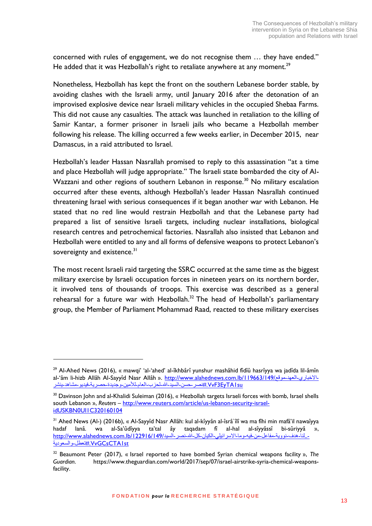concerned with rules of engagement, we do not recognise them … they have ended." He added that it was Hezbollah's right to retaliate anywhere at any moment.<sup>29</sup>

Nonetheless, Hezbollah has kept the front on the southern Lebanese border stable, by avoiding clashes with the Israeli army, until January 2016 after the detonation of an improvised explosive device near Israeli military vehicles in the occupied Shebaa Farms. This did not cause any casualties. The attack was launched in retaliation to the killing of Samir Kantar, a former prisoner in Israeli jails who became a Hezbollah member following his release. The killing occurred a few weeks earlier, in December 2015, near Damascus, in a raid attributed to Israel.

Hezbollah's leader Hassan Nasrallah promised to reply to this assassination "at a time and place Hezbollah will judge appropriate." The Israeli state bombarded the city of Al-Wazzani and other regions of southern Lebanon in response.<sup>30</sup> No military escalation occurred after these events, although Hezbollah's leader Hassan Nasrallah continued threatening Israel with serious consequences if it began another war with Lebanon. He stated that no red line would restrain Hezbollah and that the Lebanese party had prepared a list of sensitive Israeli targets, including nuclear installations, biological research centres and petrochemical factories. Nasrallah also insisted that Lebanon and Hezbollah were entitled to any and all forms of defensive weapons to protect Lebanon's sovereignty and existence.<sup>31</sup>

The most recent Israeli raid targeting the SSRC occurred at the same time as the biggest military exercise by Israeli occupation forces in nineteen years on its northern border, it involved tens of thousands of troops. This exercise was described as a general rehearsal for a future war with Hezbollah.<sup>32</sup> The head of Hezbollah's parliamentary group, the Member of Parliament Mohammad Raad, reacted to these military exercises

<sup>&</sup>lt;sup>29</sup> Al-Ahed News (2016), « mawqi' 'al-'ahed' al-îkhbârî yunshur mashâhid fîdîû hasrîyya wa jadîda lil-âmîn al-'âm li-hizb Allâh Al-Sayyîd Nasr Allâh ». [http://www.alahednews.com.lb/119663/149/](http://www.alahednews.com.lb/119663/149/موقع-العهد-الاخباري-ينشر-مشاهد-فيديو-حصرية-وجديدة-للأمين-العام-لحزب-الله-السيد-حسن-نصر#.VvF3EyTA1su)موقع-العهد-موقع-الحباري-ينشر-مشاهد-فيديو-حصرية-وجديدة-لألمين-العام-لحزب-هللا-السيد-حسن-نصر[#.VvF3EyTA1su](http://www.alahednews.com.lb/119663/149/موقع-العهد-الاخباري-ينشر-مشاهد-فيديو-حصرية-وجديدة-للأمين-العام-لحزب-الله-السيد-حسن-نصر#.VvF3EyTA1su)

<sup>&</sup>lt;sup>30</sup> Davinson John and al-Khalidi Suleiman (2016), « Hezbollah targets Israeli forces with bomb, Israel shells south Lebanon », *Reuters –* [http://www.reuters.com/article/us-lebanon-security-israel](http://www.reuters.com/article/us-lebanon-security-israel-idUSKBN0UI1C320160104)[idUSKBN0UI1C320160104](http://www.reuters.com/article/us-lebanon-security-israel-idUSKBN0UI1C320160104)

<sup>31</sup> Ahed News (Al-) (2016b), « Al-Sayyîd Nasr Allâh: kul al-kîyyân al-îsrâ`îlî wa ma fîhi min mafâ'il nawaîyya hadaf lanâ. wa al-Sa'ûdîyya ta'tal ây taqadam fî al-hal al-sîyyâssî bi-sûriyyâ », . لنا-هدف-نووية-مفاعل-من-فيه-وما-الاسرائيلي-الكيان-كل-الله-نصر-السيد/149/122916/1229 http://www.alahednews.com.lb/ [st1VvGCsCTA#.](http://www.alahednews.com.lb/122916/149/السيد-نصر-الله-كل-الكيان-الاسرائيلي-وما-فيه-من-مفاعل-نووية-هدف-لنا..-والسعودية-تعطل#.VvGCsCTA1st)تعطل-والسعودية

<sup>32</sup> Beaumont Peter (2017), « Israel reported to have bombed Syrian chemical weapons facility », *The Guardian*. https://www.theguardian.com/world/2017/sep/07/israel-airstrike-syria-chemical-weaponsfacility.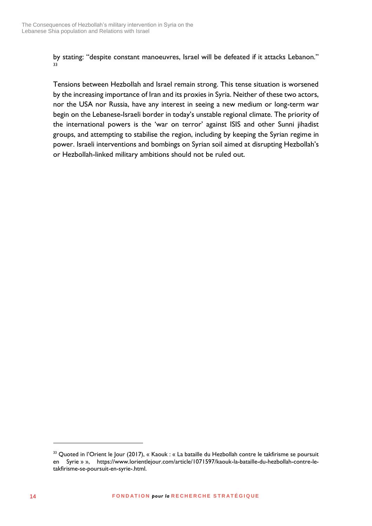by stating: "despite constant manoeuvres, Israel will be defeated if it attacks Lebanon." 33

Tensions between Hezbollah and Israel remain strong. This tense situation is worsened by the increasing importance of Iran and its proxies in Syria. Neither of these two actors, nor the USA nor Russia, have any interest in seeing a new medium or long-term war begin on the Lebanese-Israeli border in today's unstable regional climate. The priority of the international powers is the 'war on terror' against ISIS and other Sunni jihadist groups, and attempting to stabilise the region, including by keeping the Syrian regime in power. Israeli interventions and bombings on Syrian soil aimed at disrupting Hezbollah's or Hezbollah-linked military ambitions should not be ruled out.

<sup>&</sup>lt;sup>33</sup> Quoted in l'Orient le Jour (2017), « Kaouk : « La bataille du Hezbollah contre le takfirisme se poursuit en Syrie » », https://www.lorientlejour.com/article/1071597/kaouk-la-bataille-du-hezbollah-contre-letakfirisme-se-poursuit-en-syrie-.html.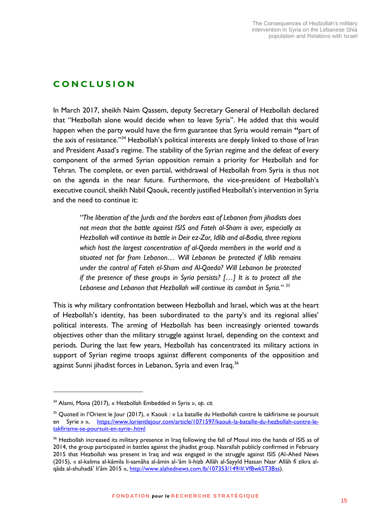#### <span id="page-14-0"></span>**C O N C L U S I O N**

In March 2017, sheikh Naim Qassem, deputy Secretary General of Hezbollah declared that "Hezbollah alone would decide when to leave Syria". He added that this would happen when the party would have the firm guarantee that Syria would remain **"**part of the axis of resistance."<sup>34</sup> Hezbollah's political interests are deeply linked to those of Iran and President Assad's regime. The stability of the Syrian regime and the defeat of every component of the armed Syrian opposition remain a priority for Hezbollah and for Tehran. The complete, or even partial, withdrawal of Hezbollah from Syria is thus not on the agenda in the near future. Furthermore, the vice-president of Hezbollah's executive council, sheikh Nabil Qaouk, recently justified Hezbollah's intervention in Syria and the need to continue it:

*"The liberation of the Jurds and the borders east of Lebanon from jihadists does not mean that the battle against ISIS and Fateh al-Sham is over, especially as Hezbollah will continue its battle in Deir ez-Zor, Idlib and al-Badia, three regions which host the largest concentration of al-Qaeda members in the world and is situated not far from Lebanon… Will Lebanon be protected if Idlib remains under the control of Fateh el-Sham and Al-Qaeda? Will Lebanon be protected if the presence of these groups in Syria persists? […] It is to protect all the Lebanese and Lebanon that Hezbollah will continue its combat in Syria." <sup>35</sup>*

This is why military confrontation between Hezbollah and Israel, which was at the heart of Hezbollah's identity, has been subordinated to the party's and its regional allies' political interests. The arming of Hezbollah has been increasingly oriented towards objectives other than the military struggle against Israel, depending on the context and periods. During the last few years, Hezbollah has concentrated its military actions in support of Syrian regime troops against different components of the opposition and against Sunni jihadist forces in Lebanon, Syria and even Iraq.<sup>36</sup>

<sup>34</sup> Alami, Mona (2017), « Hezbollah Embedded in Syria », *op. cit.*

<sup>&</sup>lt;sup>35</sup> Quoted in l'Orient le Jour (2017), « Kaouk : « La bataille du Hezbollah contre le takfirisme se poursuit en Syrie » », [https://www.lorientlejour.com/article/1071597/kaouk-la-bataille-du-hezbollah-contre-le](https://www.lorientlejour.com/article/1071597/kaouk-la-bataille-du-hezbollah-contre-le-takfirisme-se-poursuit-en-syrie-.html)[takfirisme-se-poursuit-en-syrie-.html](https://www.lorientlejour.com/article/1071597/kaouk-la-bataille-du-hezbollah-contre-le-takfirisme-se-poursuit-en-syrie-.html)

<sup>&</sup>lt;sup>36</sup> Hezbollah increased its military presence in Iraq following the fall of Mosul into the hands of ISIS as of 2014, the group participated in battles against the jihadist group. Nasrallah publicly confirmed in February 2015 that Hezbollah was present in Iraq and was engaged in the struggle against ISIS (Al-Ahed News (2015), « al-kalima al-kâmila li-samâha al-âmin al-'âm li-hizb Allâh al-Sayyîd Hassan Nasr Allâh fî zikra alqâda al-shuhadâ' li'âm 2015 », [http://www.alahednews.com.lb/107353/149/#.VfBwkST3Bss\)](http://www.alahednews.com.lb/107353/149/#.VfBwkST3Bss).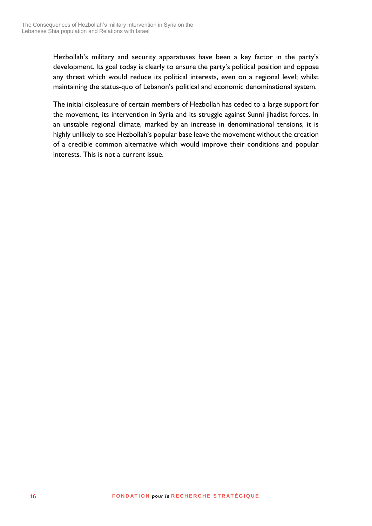Hezbollah's military and security apparatuses have been a key factor in the party's development. Its goal today is clearly to ensure the party's political position and oppose any threat which would reduce its political interests, even on a regional level; whilst maintaining the status-quo of Lebanon's political and economic denominational system.

The initial displeasure of certain members of Hezbollah has ceded to a large support for the movement, its intervention in Syria and its struggle against Sunni jihadist forces. In an unstable regional climate, marked by an increase in denominational tensions, it is highly unlikely to see Hezbollah's popular base leave the movement without the creation of a credible common alternative which would improve their conditions and popular interests. This is not a current issue.